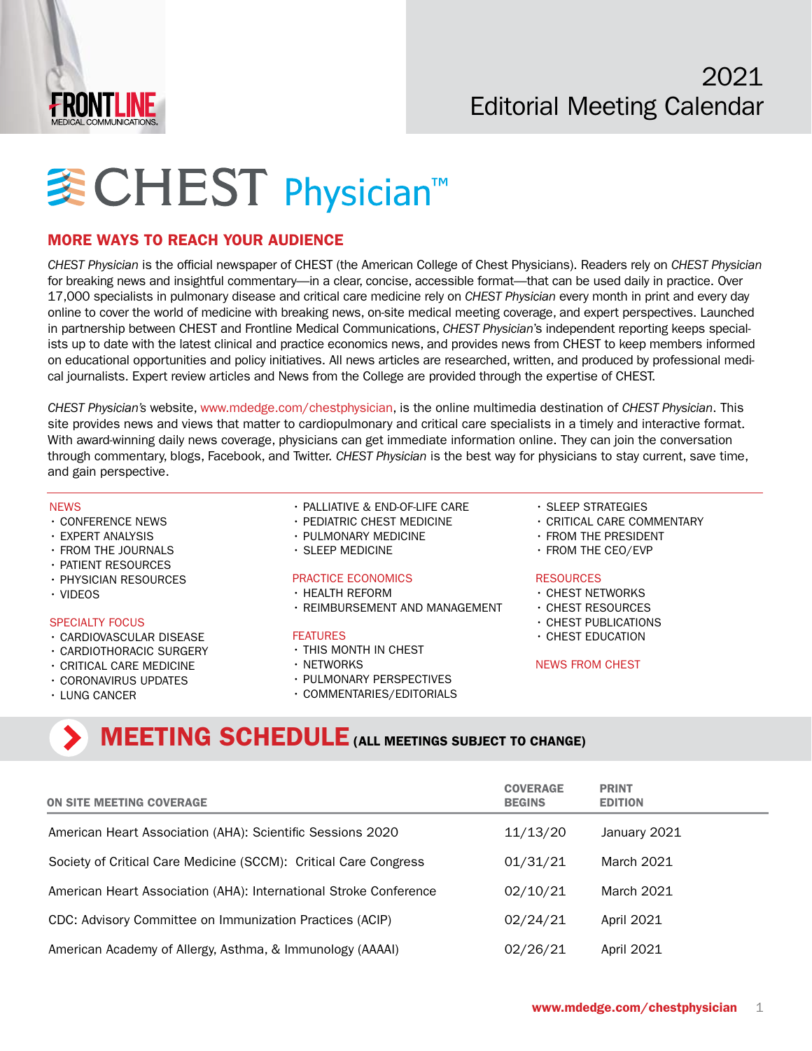

# **WCHEST Physician™**

### MORE WAYS TO REACH YOUR AUDIENCE

*CHEST Physician* is the official newspaper of CHEST (the American College of Chest Physicians). Readers rely on *CHEST Physician* for breaking news and insightful commentary—in a clear, concise, accessible format—that can be used daily in practice. Over 17,000 specialists in pulmonary disease and critical care medicine rely on *CHEST Physician* every month in print and every day online to cover the world of medicine with breaking news, on-site medical meeting coverage, and expert perspectives. Launched in partnership between CHEST and Frontline Medical Communications, *CHEST Physician*'s independent reporting keeps specialists up to date with the latest clinical and practice economics news, and provides news from CHEST to keep members informed on educational opportunities and policy initiatives. All news articles are researched, written, and produced by professional medical journalists. Expert review articles and News from the College are provided through the expertise of CHEST.

*CHEST Physician's* website, [www.mdedge.com/chestphysician](http://www.mdedge.com/chestphysician), is the online multimedia destination of *CHEST Physician*. This site provides news and views that matter to cardiopulmonary and critical care specialists in a timely and interactive format. With award-winning daily news coverage, physicians can get immediate information online. They can join the conversation through commentary, blogs, Facebook, and Twitter. *CHEST Physician* is the best way for physicians to stay current, save time, and gain perspective.

#### NEWS

- CONFERENCE NEWS
- EXPERT ANALYSIS
- FROM THE JOURNALS
- PATIENT RESOURCES
- PHYSICIAN RESOURCES
- VIDEOS

#### SPECIALTY FOCUS

- CARDIOVASCULAR DISEASE
- CARDIOTHORACIC SURGERY
- CRITICAL CARE MEDICINE
- CORONAVIRUS UPDATES
- LUNG CANCER
- PALLIATIVE & END-OF-LIFE CARE
- PEDIATRIC CHEST MEDICINE
- PULMONARY MEDICINE
- SLEEP MEDICINE

#### PRACTICE ECONOMICS

- HEALTH REFORM
- REIMBURSEMENT AND MANAGEMENT

#### FEATURES

- THIS MONTH IN CHEST
- NETWORKS
- PULMONARY PERSPECTIVES
- COMMENTARIES/EDITORIALS
- SLEEP STRATEGIES
- CRITICAL CARE COMMENTARY
- FROM THE PRESIDENT
- FROM THE CEO/EVP

#### RESOURCES

- CHEST NETWORKS
- CHEST RESOURCES
- CHEST PUBLICATIONS
- CHEST EDUCATION

#### NEWS FROM CHEST

## MEETING SCHEDULE (ALL MEETINGS SUBJECT TO CHANGE)

| <b>ON SITE MEETING COVERAGE</b>                                   | <b>COVERAGE</b><br><b>BEGINS</b> | <b>PRINT</b><br><b>EDITION</b> |
|-------------------------------------------------------------------|----------------------------------|--------------------------------|
| American Heart Association (AHA): Scientific Sessions 2020        | 11/13/20                         | January 2021                   |
| Society of Critical Care Medicine (SCCM): Critical Care Congress  | 01/31/21                         | March 2021                     |
| American Heart Association (AHA): International Stroke Conference | 02/10/21                         | March 2021                     |
| CDC: Advisory Committee on Immunization Practices (ACIP)          | 02/24/21                         | April 2021                     |
| American Academy of Allergy, Asthma, & Immunology (AAAAI)         | 02/26/21                         | April 2021                     |